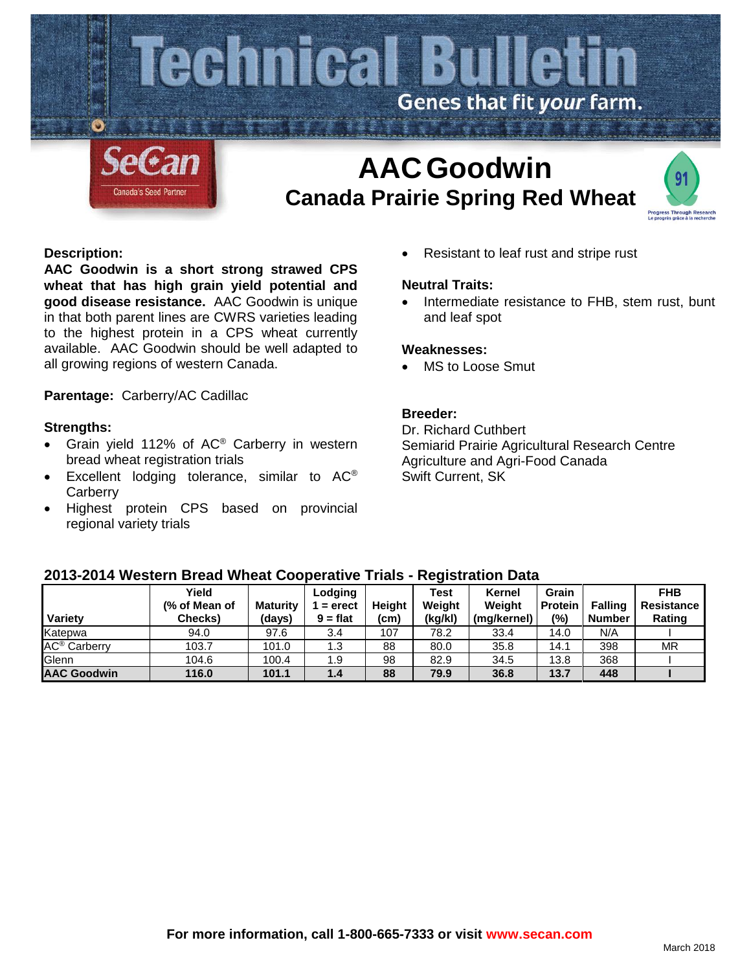

# **AACGoodwin Canada Prairie Spring Red Wheat**



# **Description:**

**AAC Goodwin is a short strong strawed CPS wheat that has high grain yield potential and good disease resistance.** AAC Goodwin is unique in that both parent lines are CWRS varieties leading to the highest protein in a CPS wheat currently available. AAC Goodwin should be well adapted to all growing regions of western Canada.

**Parentage:** Carberry/AC Cadillac

#### **Strengths:**

- Grain yield 112% of AC® Carberry in western bread wheat registration trials
- Excellent lodging tolerance, similar to AC<sup>®</sup> **Carberry**
- Highest protein CPS based on provincial regional variety trials

• Resistant to leaf rust and stripe rust

#### **Neutral Traits:**

Intermediate resistance to FHB, stem rust, bunt and leaf spot

#### **Weaknesses:**

MS to Loose Smut

# **Breeder:**

Dr. Richard Cuthbert Semiarid Prairie Agricultural Research Centre Agriculture and Agri-Food Canada Swift Current, SK

| ----                           |               |                 |            |        |             |             |                |                |                   |
|--------------------------------|---------------|-----------------|------------|--------|-------------|-------------|----------------|----------------|-------------------|
|                                | Yield         |                 | Lodging    |        | <b>Test</b> | Kernel      | Grain          |                | <b>FHB</b>        |
|                                | (% of Mean of | <b>Maturity</b> | $=$ erect  | Height | Weight      | Weight      | <b>Protein</b> | <b>Falling</b> | <b>Resistance</b> |
| Variety                        | Checks)       | (days)          | $9 = flat$ | (cm)   | (kg/kl)     | (mg/kernel) | $(\%)$         | <b>Number</b>  | Rating            |
| Katepwa                        | 94.0          | 97.6            | 3.4        | 107    | 78.2        | 33.4        | 14.0           | N/A            |                   |
| <b>AC<sup>®</sup></b> Carberry | 103.7         | 101.0           | 1.3        | 88     | 80.0        | 35.8        | 14.1           | 398            | <b>MR</b>         |
| Glenn                          | 104.6         | 100.4           | 1.9        | 98     | 82.9        | 34.5        | 13.8           | 368            |                   |
| <b>AAC Goodwin</b>             | 116.0         | 101.1           | 1.4        | 88     | 79.9        | 36.8        | 13.7           | 448            |                   |

# **2013-2014 Western Bread Wheat Cooperative Trials - Registration Data**